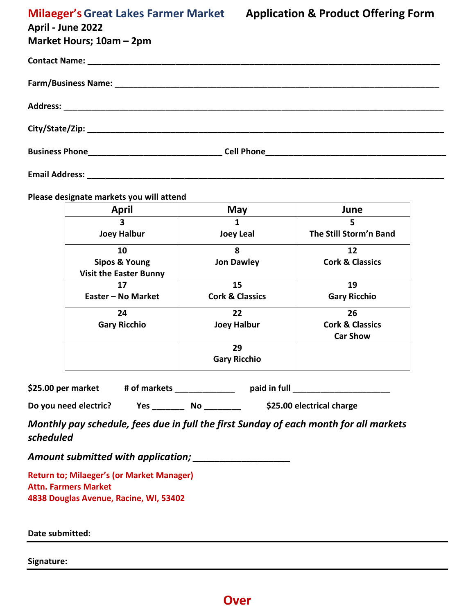| April - June 2022        |  |  |
|--------------------------|--|--|
| Market Hours; 10am - 2pm |  |  |
|                          |  |  |
|                          |  |  |
|                          |  |  |
|                          |  |  |
|                          |  |  |
| <b>Email Address:</b>    |  |  |

**Please designate markets you will attend**

| <b>April</b>                  | May                        | June                       |
|-------------------------------|----------------------------|----------------------------|
| 3                             |                            | 5                          |
| <b>Joey Halbur</b>            | <b>Joey Leal</b>           | The Still Storm'n Band     |
| 10                            | 8                          | 12                         |
| Sipos & Young                 | <b>Jon Dawley</b>          | <b>Cork &amp; Classics</b> |
| <b>Visit the Easter Bunny</b> |                            |                            |
| 17                            | 15                         | 19                         |
| Easter - No Market            | <b>Cork &amp; Classics</b> | <b>Gary Ricchio</b>        |
| 24                            | 22                         | 26                         |
| <b>Gary Ricchio</b>           | <b>Joey Halbur</b>         | <b>Cork &amp; Classics</b> |
|                               |                            | <b>Car Show</b>            |
|                               | 29                         |                            |
|                               | <b>Gary Ricchio</b>        |                            |

\$25.00 per market # of markets \_\_\_\_\_\_\_\_\_\_\_\_\_\_ paid in full \_\_\_\_\_\_\_\_\_\_\_\_\_\_\_\_\_\_\_\_\_

**Do you need electric? Yes \_\_\_\_\_\_\_ No \_\_\_\_\_\_\_\_ \$25.00 electrical charge** 

*Monthly pay schedule, fees due in full the first Sunday of each month for all markets scheduled* 

*Amount submitted with application; \_\_\_\_\_\_\_\_\_\_\_\_\_\_\_\_\_\_*

**Return to; Milaeger's (or Market Manager) Attn. Farmers Market 4838 Douglas Avenue, Racine, WI, 53402**

**Date submitted:**

**Signature:**